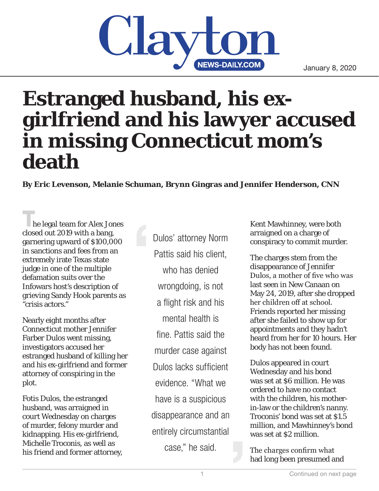## **NEWS-DAILY.COM**

## **Estranged husband, his exgirlfriend and his lawyer accused in missing Connecticut mom's death**

**By Eric Levenson, Melanie Schuman, Brynn Gingras and Jennifer Henderson, CNN**

**The legal team for Alex Jones** closed out 2019 with a bang, garnering upward of \$100,000 in sanctions and fees from an extremely irate Texas state judge in one of the multiple defamation suits over the Infowars host's description of grieving Sandy Hook parents as "crisis actors."

Nearly eight months after Connecticut mother Jennifer Farber Dulos went missing, investigators accused her estranged husband of killing her and his ex-girlfriend and former attorney of conspiring in the plot.

Fotis Dulos, the estranged husband, was arraigned in court Wednesday on charges of murder, felony murder and kidnapping. His ex-girlfriend, Michelle Troconis, as well as his friend and former attorney,

Dulos' attorney Norm Pattis said his client, who has denied wrongdoing, is not a flight risk and his mental health is fine. Pattis said the murder case against Dulos lacks sufficient evidence. "What we have is a suspicious disappearance and an entirely circumstantial case," he said.

Kent Mawhinney, were both arraigned on a charge of conspiracy to commit murder.

The charges stem from the disappearance of Jennifer Dulos, a mother of five who was last seen in New Canaan on May 24, 2019, after she dropped her children off at school. Friends reported her missing after she failed to show up for appointments and they hadn't heard from her for 10 hours. Her body has not been found.

Dulos appeared in court Wednesday and his bond was set at \$6 million. He was ordered to have no contact with the children, his motherin-law or the children's nanny. Troconis' bond was set at \$1.5 million, and Mawhinney's bond was set at \$2 million.

The charges confirm what had long been presumed and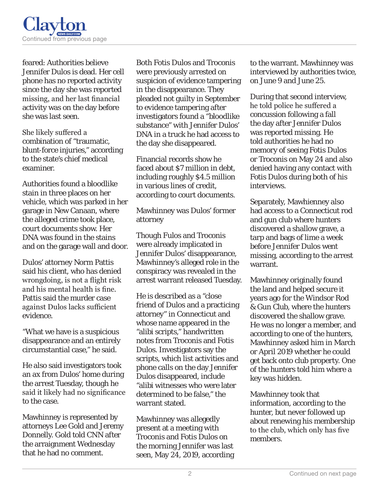

feared: Authorities believe Jennifer Dulos is dead. Her cell phone has no reported activity since the day she was reported missing, and her last financial activity was on the day before she was last seen.

She likely suffered a combination of "traumatic, blunt-force injuries," according to the state's chief medical examiner.

Authorities found a bloodlike stain in three places on her vehicle, which was parked in her garage in New Canaan, where the alleged crime took place, court documents show. Her DNA was found in the stains and on the garage wall and door.

Dulos' attorney Norm Pattis said his client, who has denied wrongdoing, is not a flight risk and his mental health is fine. Pattis said the murder case against Dulos lacks sufficient evidence.

"What we have is a suspicious disappearance and an entirely circumstantial case," he said.

He also said investigators took an ax from Dulos' home during the arrest Tuesday, though he said it likely had no significance to the case.

Mawhinney is represented by attorneys Lee Gold and Jeremy Donnelly. Gold told CNN after the arraignment Wednesday that he had no comment.

Both Fotis Dulos and Troconis were previously arrested on suspicion of evidence tampering in the disappearance. They pleaded not guilty in September to evidence tampering after investigators found a "bloodlike substance" with Jennifer Dulos' DNA in a truck he had access to the day she disappeared.

Financial records show he faced about \$7 million in debt, including roughly \$4.5 million in various lines of credit, according to court documents.

Mawhinney was Dulos' former attorney

Though Fulos and Troconis were already implicated in Jennifer Dulos' disappearance, Mawhinney's alleged role in the conspiracy was revealed in the arrest warrant released Tuesday.

He is described as a "close friend of Dulos and a practicing attorney" in Connecticut and whose name appeared in the "alibi scripts," handwritten notes from Troconis and Fotis Dulos. Investigators say the scripts, which list activities and phone calls on the day Jennifer Dulos disappeared, include "alibi witnesses who were later determined to be false," the warrant stated.

Mawhinney was allegedly present at a meeting with Troconis and Fotis Dulos on the morning Jennifer was last seen, May 24, 2019, according to the warrant. Mawhinney was interviewed by authorities twice, on June 9 and June 25.

During that second interview, he told police he suffered a concussion following a fall the day after Jennifer Dulos was reported missing. He told authorities he had no memory of seeing Fotis Dulos or Troconis on May 24 and also denied having any contact with Fotis Dulos during both of his interviews.

Separately, Mawhienney also had access to a Connecticut rod and gun club where hunters discovered a shallow grave, a tarp and bags of lime a week before Jennifer Dulos went missing, according to the arrest warrant.

Mawhinney originally found the land and helped secure it years ago for the Windsor Rod & Gun Club, where the hunters discovered the shallow grave. He was no longer a member, and according to one of the hunters, Mawhinney asked him in March or April 2019 whether he could get back onto club property. One of the hunters told him where a key was hidden.

Mawhinney took that information, according to the hunter, but never followed up about renewing his membership to the club, which only has five members.